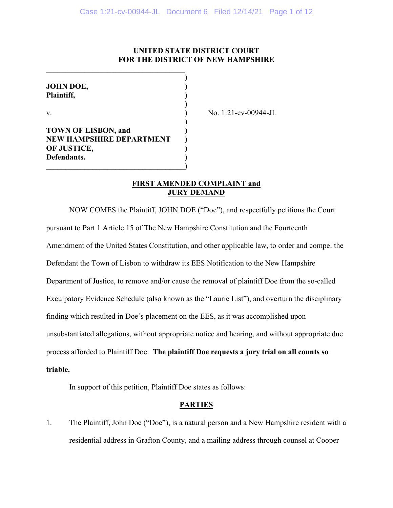## **UNITED STATE DISTRICT COURT FOR THE DISTRICT OF NEW HAMPSHIRE**

 **) JOHN DOE, ) Plaintiff, )**   $)$ v. 1:21-cv-00944-JL  $)$ **TOWN OF LISBON, and ) NEW HAMPSHIRE DEPARTMENT ) OF JUSTICE, ) Defendants. ) \_\_\_\_\_\_\_\_\_\_\_\_\_\_\_\_\_\_\_\_\_\_\_\_\_\_\_\_\_\_\_\_\_\_\_\_)** 

**\_\_\_\_\_\_\_\_\_\_\_\_\_\_\_\_\_\_\_\_\_\_\_\_\_\_\_\_\_\_\_\_\_\_\_\_** 

## **FIRST AMENDED COMPLAINT and JURY DEMAND**

NOW COMES the Plaintiff, JOHN DOE ("Doe"), and respectfully petitions the Court pursuant to Part 1 Article 15 of The New Hampshire Constitution and the Fourteenth Amendment of the United States Constitution, and other applicable law, to order and compel the Defendant the Town of Lisbon to withdraw its EES Notification to the New Hampshire Department of Justice, to remove and/or cause the removal of plaintiff Doe from the so-called Exculpatory Evidence Schedule (also known as the "Laurie List"), and overturn the disciplinary finding which resulted in Doe's placement on the EES, as it was accomplished upon unsubstantiated allegations, without appropriate notice and hearing, and without appropriate due process afforded to Plaintiff Doe. **The plaintiff Doe requests a jury trial on all counts so triable.**

In support of this petition, Plaintiff Doe states as follows:

# **PARTIES**

1. The Plaintiff, John Doe ("Doe"), is a natural person and a New Hampshire resident with a residential address in Grafton County, and a mailing address through counsel at Cooper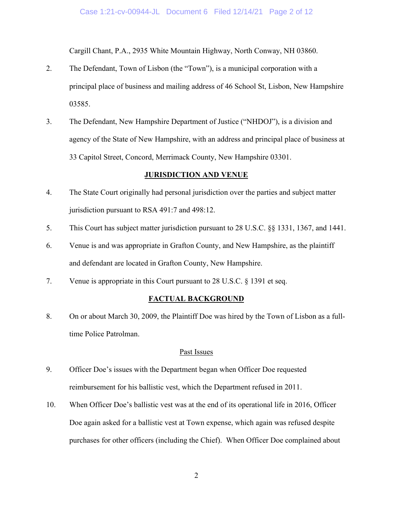Cargill Chant, P.A., 2935 White Mountain Highway, North Conway, NH 03860.

- 2. The Defendant, Town of Lisbon (the "Town"), is a municipal corporation with a principal place of business and mailing address of 46 School St, Lisbon, New Hampshire 03585.
- 3. The Defendant, New Hampshire Department of Justice ("NHDOJ"), is a division and agency of the State of New Hampshire, with an address and principal place of business at 33 Capitol Street, Concord, Merrimack County, New Hampshire 03301.

#### **JURISDICTION AND VENUE**

- 4. The State Court originally had personal jurisdiction over the parties and subject matter jurisdiction pursuant to RSA 491:7 and 498:12.
- 5. This Court has subject matter jurisdiction pursuant to 28 U.S.C. §§ 1331, 1367, and 1441.
- 6. Venue is and was appropriate in Grafton County, and New Hampshire, as the plaintiff and defendant are located in Grafton County, New Hampshire.
- 7. Venue is appropriate in this Court pursuant to 28 U.S.C. § 1391 et seq.

#### **FACTUAL BACKGROUND**

8. On or about March 30, 2009, the Plaintiff Doe was hired by the Town of Lisbon as a fulltime Police Patrolman.

#### Past Issues

- 9. Officer Doe's issues with the Department began when Officer Doe requested reimbursement for his ballistic vest, which the Department refused in 2011.
- 10. When Officer Doe's ballistic vest was at the end of its operational life in 2016, Officer Doe again asked for a ballistic vest at Town expense, which again was refused despite purchases for other officers (including the Chief). When Officer Doe complained about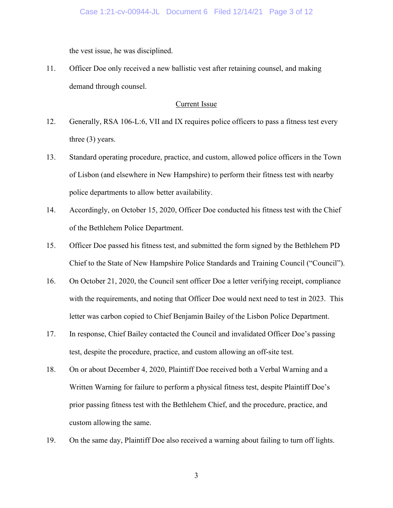the vest issue, he was disciplined.

11. Officer Doe only received a new ballistic vest after retaining counsel, and making demand through counsel.

#### Current Issue

- 12. Generally, RSA 106-L:6, VII and IX requires police officers to pass a fitness test every three (3) years.
- 13. Standard operating procedure, practice, and custom, allowed police officers in the Town of Lisbon (and elsewhere in New Hampshire) to perform their fitness test with nearby police departments to allow better availability.
- 14. Accordingly, on October 15, 2020, Officer Doe conducted his fitness test with the Chief of the Bethlehem Police Department.
- 15. Officer Doe passed his fitness test, and submitted the form signed by the Bethlehem PD Chief to the State of New Hampshire Police Standards and Training Council ("Council").
- 16. On October 21, 2020, the Council sent officer Doe a letter verifying receipt, compliance with the requirements, and noting that Officer Doe would next need to test in 2023. This letter was carbon copied to Chief Benjamin Bailey of the Lisbon Police Department.
- 17. In response, Chief Bailey contacted the Council and invalidated Officer Doe's passing test, despite the procedure, practice, and custom allowing an off-site test.
- 18. On or about December 4, 2020, Plaintiff Doe received both a Verbal Warning and a Written Warning for failure to perform a physical fitness test, despite Plaintiff Doe's prior passing fitness test with the Bethlehem Chief, and the procedure, practice, and custom allowing the same.
- 19. On the same day, Plaintiff Doe also received a warning about failing to turn off lights.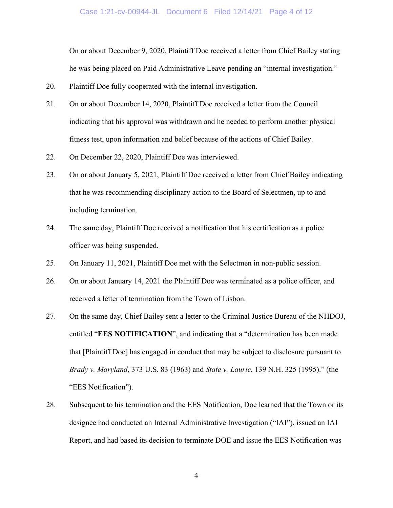On or about December 9, 2020, Plaintiff Doe received a letter from Chief Bailey stating he was being placed on Paid Administrative Leave pending an "internal investigation."

- 20. Plaintiff Doe fully cooperated with the internal investigation.
- 21. On or about December 14, 2020, Plaintiff Doe received a letter from the Council indicating that his approval was withdrawn and he needed to perform another physical fitness test, upon information and belief because of the actions of Chief Bailey.
- 22. On December 22, 2020, Plaintiff Doe was interviewed.
- 23. On or about January 5, 2021, Plaintiff Doe received a letter from Chief Bailey indicating that he was recommending disciplinary action to the Board of Selectmen, up to and including termination.
- 24. The same day, Plaintiff Doe received a notification that his certification as a police officer was being suspended.
- 25. On January 11, 2021, Plaintiff Doe met with the Selectmen in non-public session.
- 26. On or about January 14, 2021 the Plaintiff Doe was terminated as a police officer, and received a letter of termination from the Town of Lisbon.
- 27. On the same day, Chief Bailey sent a letter to the Criminal Justice Bureau of the NHDOJ, entitled "**EES NOTIFICATION**", and indicating that a "determination has been made that [Plaintiff Doe] has engaged in conduct that may be subject to disclosure pursuant to *Brady v. Maryland*, 373 U.S. 83 (1963) and *State v. Laurie*, 139 N.H. 325 (1995)." (the "EES Notification").
- 28. Subsequent to his termination and the EES Notification, Doe learned that the Town or its designee had conducted an Internal Administrative Investigation ("IAI"), issued an IAI Report, and had based its decision to terminate DOE and issue the EES Notification was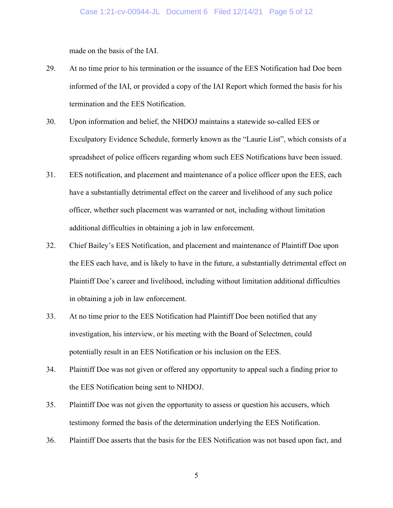made on the basis of the IAI.

- 29. At no time prior to his termination or the issuance of the EES Notification had Doe been informed of the IAI, or provided a copy of the IAI Report which formed the basis for his termination and the EES Notification.
- 30. Upon information and belief, the NHDOJ maintains a statewide so-called EES or Exculpatory Evidence Schedule, formerly known as the "Laurie List", which consists of a spreadsheet of police officers regarding whom such EES Notifications have been issued.
- 31. EES notification, and placement and maintenance of a police officer upon the EES, each have a substantially detrimental effect on the career and livelihood of any such police officer, whether such placement was warranted or not, including without limitation additional difficulties in obtaining a job in law enforcement.
- 32. Chief Bailey's EES Notification, and placement and maintenance of Plaintiff Doe upon the EES each have, and is likely to have in the future, a substantially detrimental effect on Plaintiff Doe's career and livelihood, including without limitation additional difficulties in obtaining a job in law enforcement.
- 33. At no time prior to the EES Notification had Plaintiff Doe been notified that any investigation, his interview, or his meeting with the Board of Selectmen, could potentially result in an EES Notification or his inclusion on the EES.
- 34. Plaintiff Doe was not given or offered any opportunity to appeal such a finding prior to the EES Notification being sent to NHDOJ.
- 35. Plaintiff Doe was not given the opportunity to assess or question his accusers, which testimony formed the basis of the determination underlying the EES Notification.
- 36. Plaintiff Doe asserts that the basis for the EES Notification was not based upon fact, and

5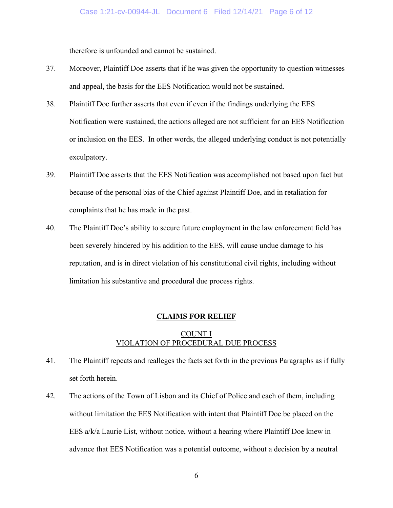therefore is unfounded and cannot be sustained.

- 37. Moreover, Plaintiff Doe asserts that if he was given the opportunity to question witnesses and appeal, the basis for the EES Notification would not be sustained.
- 38. Plaintiff Doe further asserts that even if even if the findings underlying the EES Notification were sustained, the actions alleged are not sufficient for an EES Notification or inclusion on the EES. In other words, the alleged underlying conduct is not potentially exculpatory.
- 39. Plaintiff Doe asserts that the EES Notification was accomplished not based upon fact but because of the personal bias of the Chief against Plaintiff Doe, and in retaliation for complaints that he has made in the past.
- 40. The Plaintiff Doe's ability to secure future employment in the law enforcement field has been severely hindered by his addition to the EES, will cause undue damage to his reputation, and is in direct violation of his constitutional civil rights, including without limitation his substantive and procedural due process rights.

# **CLAIMS FOR RELIEF**

# COUNT I VIOLATION OF PROCEDURAL DUE PROCESS

- 41. The Plaintiff repeats and realleges the facts set forth in the previous Paragraphs as if fully set forth herein.
- 42. The actions of the Town of Lisbon and its Chief of Police and each of them, including without limitation the EES Notification with intent that Plaintiff Doe be placed on the EES a/k/a Laurie List, without notice, without a hearing where Plaintiff Doe knew in advance that EES Notification was a potential outcome, without a decision by a neutral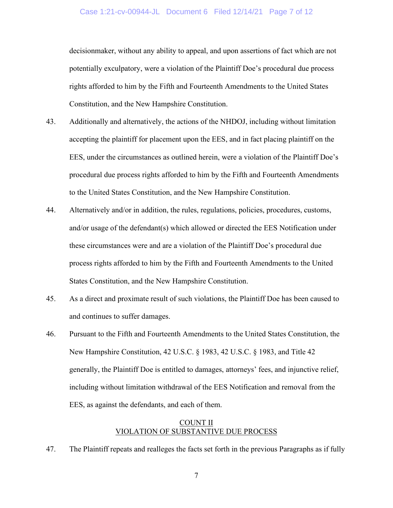decisionmaker, without any ability to appeal, and upon assertions of fact which are not potentially exculpatory, were a violation of the Plaintiff Doe's procedural due process rights afforded to him by the Fifth and Fourteenth Amendments to the United States Constitution, and the New Hampshire Constitution.

- 43. Additionally and alternatively, the actions of the NHDOJ, including without limitation accepting the plaintiff for placement upon the EES, and in fact placing plaintiff on the EES, under the circumstances as outlined herein, were a violation of the Plaintiff Doe's procedural due process rights afforded to him by the Fifth and Fourteenth Amendments to the United States Constitution, and the New Hampshire Constitution.
- 44. Alternatively and/or in addition, the rules, regulations, policies, procedures, customs, and/or usage of the defendant(s) which allowed or directed the EES Notification under these circumstances were and are a violation of the Plaintiff Doe's procedural due process rights afforded to him by the Fifth and Fourteenth Amendments to the United States Constitution, and the New Hampshire Constitution.
- 45. As a direct and proximate result of such violations, the Plaintiff Doe has been caused to and continues to suffer damages.
- 46. Pursuant to the Fifth and Fourteenth Amendments to the United States Constitution, the New Hampshire Constitution, 42 U.S.C. § 1983, 42 U.S.C. § 1983, and Title 42 generally, the Plaintiff Doe is entitled to damages, attorneys' fees, and injunctive relief, including without limitation withdrawal of the EES Notification and removal from the EES, as against the defendants, and each of them.

## COUNT II VIOLATION OF SUBSTANTIVE DUE PROCESS

47. The Plaintiff repeats and realleges the facts set forth in the previous Paragraphs as if fully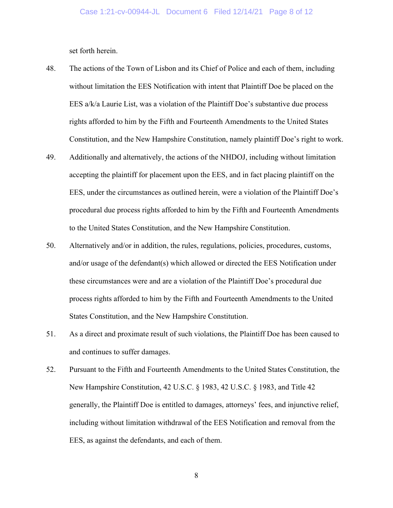set forth herein.

- 48. The actions of the Town of Lisbon and its Chief of Police and each of them, including without limitation the EES Notification with intent that Plaintiff Doe be placed on the EES a/k/a Laurie List, was a violation of the Plaintiff Doe's substantive due process rights afforded to him by the Fifth and Fourteenth Amendments to the United States Constitution, and the New Hampshire Constitution, namely plaintiff Doe's right to work.
- 49. Additionally and alternatively, the actions of the NHDOJ, including without limitation accepting the plaintiff for placement upon the EES, and in fact placing plaintiff on the EES, under the circumstances as outlined herein, were a violation of the Plaintiff Doe's procedural due process rights afforded to him by the Fifth and Fourteenth Amendments to the United States Constitution, and the New Hampshire Constitution.
- 50. Alternatively and/or in addition, the rules, regulations, policies, procedures, customs, and/or usage of the defendant(s) which allowed or directed the EES Notification under these circumstances were and are a violation of the Plaintiff Doe's procedural due process rights afforded to him by the Fifth and Fourteenth Amendments to the United States Constitution, and the New Hampshire Constitution.
- 51. As a direct and proximate result of such violations, the Plaintiff Doe has been caused to and continues to suffer damages.
- 52. Pursuant to the Fifth and Fourteenth Amendments to the United States Constitution, the New Hampshire Constitution, 42 U.S.C. § 1983, 42 U.S.C. § 1983, and Title 42 generally, the Plaintiff Doe is entitled to damages, attorneys' fees, and injunctive relief, including without limitation withdrawal of the EES Notification and removal from the EES, as against the defendants, and each of them.

8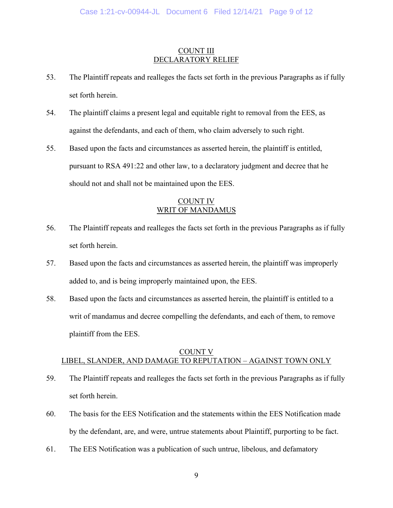# COUNT III DECLARATORY RELIEF

- 53. The Plaintiff repeats and realleges the facts set forth in the previous Paragraphs as if fully set forth herein.
- 54. The plaintiff claims a present legal and equitable right to removal from the EES, as against the defendants, and each of them, who claim adversely to such right.
- 55. Based upon the facts and circumstances as asserted herein, the plaintiff is entitled, pursuant to RSA 491:22 and other law, to a declaratory judgment and decree that he should not and shall not be maintained upon the EES.

# COUNT IV WRIT OF MANDAMUS

- 56. The Plaintiff repeats and realleges the facts set forth in the previous Paragraphs as if fully set forth herein.
- 57. Based upon the facts and circumstances as asserted herein, the plaintiff was improperly added to, and is being improperly maintained upon, the EES.
- 58. Based upon the facts and circumstances as asserted herein, the plaintiff is entitled to a writ of mandamus and decree compelling the defendants, and each of them, to remove plaintiff from the EES.

# COUNT V LIBEL, SLANDER, AND DAMAGE TO REPUTATION – AGAINST TOWN ONLY

- 59. The Plaintiff repeats and realleges the facts set forth in the previous Paragraphs as if fully set forth herein.
- 60. The basis for the EES Notification and the statements within the EES Notification made by the defendant, are, and were, untrue statements about Plaintiff, purporting to be fact.
- 61. The EES Notification was a publication of such untrue, libelous, and defamatory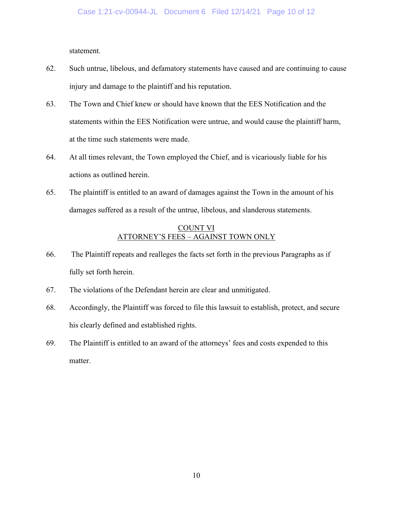statement.

- 62. Such untrue, libelous, and defamatory statements have caused and are continuing to cause injury and damage to the plaintiff and his reputation.
- 63. The Town and Chief knew or should have known that the EES Notification and the statements within the EES Notification were untrue, and would cause the plaintiff harm, at the time such statements were made.
- 64. At all times relevant, the Town employed the Chief, and is vicariously liable for his actions as outlined herein.
- 65. The plaintiff is entitled to an award of damages against the Town in the amount of his damages suffered as a result of the untrue, libelous, and slanderous statements.

# COUNT VI ATTORNEY'S FEES – AGAINST TOWN ONLY

- 66. The Plaintiff repeats and realleges the facts set forth in the previous Paragraphs as if fully set forth herein.
- 67. The violations of the Defendant herein are clear and unmitigated.
- 68. Accordingly, the Plaintiff was forced to file this lawsuit to establish, protect, and secure his clearly defined and established rights.
- 69. The Plaintiff is entitled to an award of the attorneys' fees and costs expended to this matter.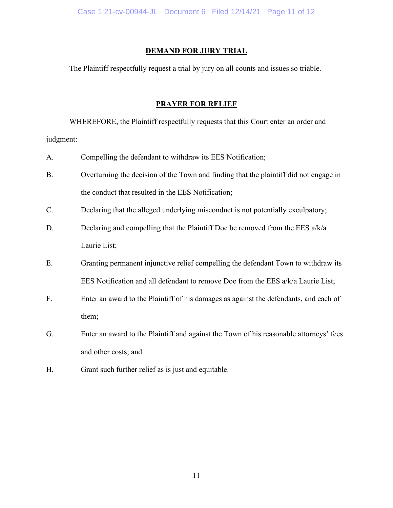#### **DEMAND FOR JURY TRIAL**

The Plaintiff respectfully request a trial by jury on all counts and issues so triable.

# **PRAYER FOR RELIEF**

WHEREFORE, the Plaintiff respectfully requests that this Court enter an order and judgment:

- A. Compelling the defendant to withdraw its EES Notification;
- B. Overturning the decision of the Town and finding that the plaintiff did not engage in the conduct that resulted in the EES Notification;
- C. Declaring that the alleged underlying misconduct is not potentially exculpatory;
- D. Declaring and compelling that the Plaintiff Doe be removed from the EES a/k/a Laurie List;
- E. Granting permanent injunctive relief compelling the defendant Town to withdraw its EES Notification and all defendant to remove Doe from the EES a/k/a Laurie List;
- F. Enter an award to the Plaintiff of his damages as against the defendants, and each of them;
- G. Enter an award to the Plaintiff and against the Town of his reasonable attorneys' fees and other costs; and
- H. Grant such further relief as is just and equitable.